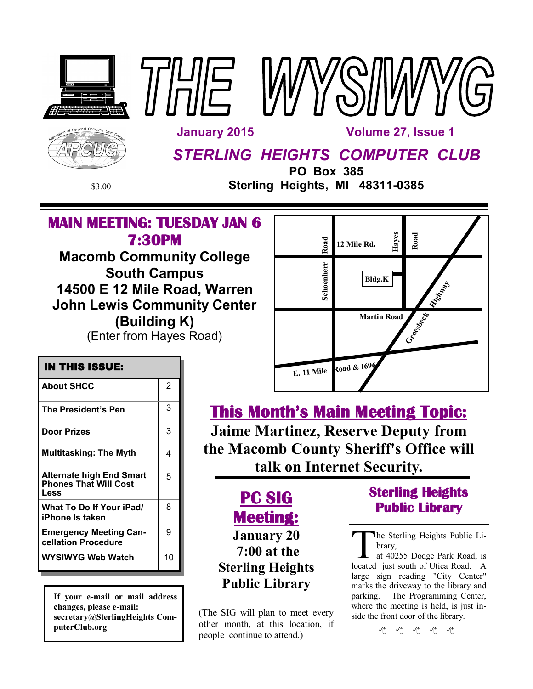





*STERLING HEIGHTS COMPUTER CLUB*

 **January 2015 Volume 27, Issue 1**

**PO Box 385** \$3.00 **Sterling Heights, MI 48311-0385**

## **MAIN MEETING: TUESDAY JAN 6 7:30PM**

**Macomb Community College South Campus 14500 E 12 Mile Road, Warren John Lewis Community Center (Building K)** (Enter from Hayes Road)

| Road       | Hayes<br>12 Mile Rd.              | Road          |  |
|------------|-----------------------------------|---------------|--|
| Schoenherr | Bldg.K                            | <b>Liston</b> |  |
|            | Cr. de Meck<br><b>Martin Road</b> |               |  |
| E. 11 Mile | Road & 1696                       |               |  |

# **This Month's Main Meeting Topic:**

**Jaime Martinez, Reserve Deputy from the Macomb County Sheriff's Office will talk on Internet Security.**

**PC SIG Meeting: January 20 7:00 at the Sterling Heights Public Library**

(The SIG will plan to meet every other month, at this location, if people continue to attend.)

## **Sterling Heights Public Library**

The Sterling Heights Public Library,<br>
at 40255 Dodge Park Road, is<br>
located just south of Utica Road. A he Sterling Heights Public Library,

at 40255 Dodge Park Road, is large sign reading "City Center" marks the driveway to the library and parking. The Programming Center, where the meeting is held, is just inside the front door of the library.

西 田 田 田 田

| IN THIS ISSUE:                                                          |    |
|-------------------------------------------------------------------------|----|
| <b>About SHCC</b>                                                       | 2  |
| The President's Pen                                                     | 3  |
| Door Prizes                                                             | 3  |
| <b>Multitasking: The Myth</b>                                           | 4  |
| <b>Alternate high End Smart</b><br><b>Phones That Will Cost</b><br>Less | 5  |
| What To Do If Your iPad/<br>iPhone Is taken                             | 8  |
| Emergency Meeting Can-<br>cellation Procedure                           | g  |
| WYSIWYG Web Watch                                                       | 10 |

**If your e-mail or mail address changes, please e-mail: secretary@SterlingHeights ComputerClub.org**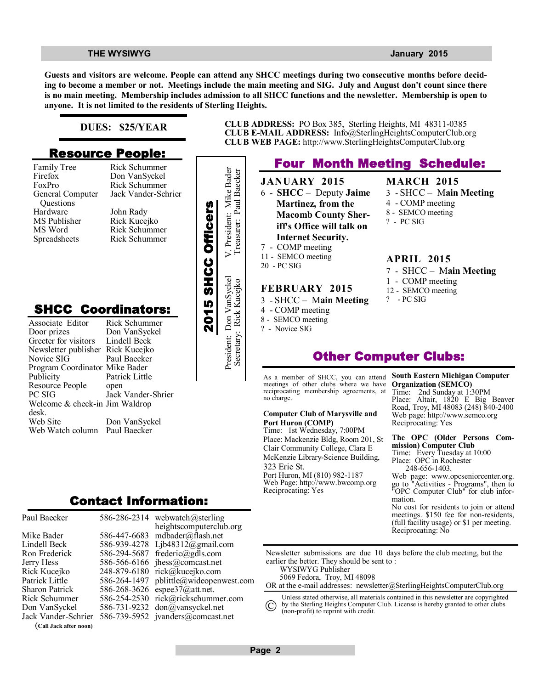### **THE WYSIWYG** *CONSUMISTION CONSUMISTION CONSUMING* $\sim$  **2015**

**Guests and visitors are welcome. People can attend any SHCC meetings during two consecutive months before deciding to become a member or not. Meetings include the main meeting and SIG. July and August don't count since there is no main meeting. Membership includes admission to all SHCC functions and the newsletter. Membership is open to anyone. It is not limited to the residents of Sterling Heights.**

### **DUES: \$25/YEAR**

## **Resource People:**

- Family Tree Firefox FoxPro General Computer Questions Hardware MS Publisher MS Word Spreadsheets
- Rick Schummer Don VanSyckel Rick Schummer Jack Vander-Schrier John Rady Rick Kucejko Rick Schummer

## **SHCC Coordinators:**

| гашну ттес<br>Firefox<br>FoxPro<br>General Computer<br>Questions<br>Hardware<br>MS Publisher<br>MS Word<br>Spreadsheets                                      | <b>INIUN DUTTUMILITEI</b><br>Don VanSyckel<br>Rick Schummer<br>Jack Vander-Schrier<br>John Rady<br>Rick Kucejko<br>Rick Schummer<br>Rick Schummer |                    | President: Mike Bader    |
|--------------------------------------------------------------------------------------------------------------------------------------------------------------|---------------------------------------------------------------------------------------------------------------------------------------------------|--------------------|--------------------------|
| <b>SHCC Coordinators:</b><br>Associate Editor<br>Door prizes<br>Greeter for visitors<br>Newsletter publisher<br>Novice SIG<br>Program Coordinator Mike Bader | Rick Schummer<br>Don VanSyckel<br>Lindell Beck<br>Rick Kucejko<br>Paul Baecker                                                                    | 2015 SHCC Officers | President: Don VanSyckel |
| Publicity<br>Resource People<br>PC SIG<br>Welcome & check-in Jim Waldrop<br>desk.<br>Web Site<br>Web Watch column                                            | Patrick Little<br>open<br>Jack Vander-Shrier<br>Don VanSyckel<br>Paul Baecker                                                                     |                    |                          |
|                                                                                                                                                              | Contact Information:                                                                                                                              |                    |                          |

|              | 586-286-2314 webwatch@sterling     |
|--------------|------------------------------------|
|              | heightscomputerclub.org            |
|              | 586-447-6683 mdbader@flash.net     |
|              | 586-939-4278 Ljb48312@gmail.com    |
| 586-294-5687 | frederic@gdls.com                  |
|              | 586-566-6166 $i$ hess@comcast.net  |
|              | 248-879-6180 rick@kucejko.com      |
| 586-264-1497 | $pb$ little@wideopenwest.com       |
|              | 586-268-3626 espee37@att.net.      |
|              | 586-254-2530 rick@rickschummer.com |
|              | 586-731-9232 don@vansyckel.net     |
|              | 586-739-5952 jvanders@comcast.net  |
|              |                                    |
|              |                                    |



**CLUB ADDRESS:** PO Box 385, Sterling Heights, MI 48311-0385 **CLUB E-MAIL ADDRESS:** Info@SterlingHeightsComputerClub.org **CLUB WEB PAGE:** http://www.SterlingHeightsComputerClub.org

## **Four Month Meeting Schedule:**

## **JANUARY 2015**

- 6 **SHCC** Deputy **Jaime Martinez, from the Macomb County Sheriff's Office will talk on Internet Security.**
- 7 COMP meeting
- 11 SEMCO meeting
- 20 PC SIG

### **FEBRUARY 2015**

- 3 SHCC M**ain Meeting**
- 4 COMP meeting
- 8 SEMCO meeting
- ? Novice SIG

## **MARCH 2015**

- 3 SHCC M**ain Meeting**
- 4 COMP meeting
- 8 SEMCO meeting
- ? PC SIG

### **APRIL 2015**

- 7 SHCC M**ain Meeting**
- 1 COMP meeting
- 12 SEMCO meeting
- ? PC SIG

## **Other Computer Clubs:**

As a member of SHCC, you can attend meetings of other clubs where we have reciprocating membership agreements, at no charge.

### **Computer Club of Marysville and Port Huron (COMP)**

Time: 1st Wednesday, 7:00PM Place: Mackenzie Bldg, Room 201, St Clair Community College, Clara E McKenzie Library-Science Building, 323 Erie St. Port Huron, MI (810) 982-1187 Web Page: http://www.bwcomp.org Reciprocating: Yes

**South Eastern Michigan Computer Organization (SEMCO)**

Time: 2nd Sunday at 1:30PM Place: Altair, 1820 E Big Beaver Road, Troy, MI 48083 (248) 840-2400 Web page: http://www.semco.org Reciprocating: Yes

### **The OPC (Older Persons Commission) Computer Club**  Time: Every Tuesday at 10:00 Place: OPC in Rochester 248-656-1403.

Web page: www.opcseniorcenter.org. go to "Activities - Programs", then to "OPC Computer Club" for club information.

No cost for residents to join or attend meetings. \$150 fee for non-residents, (full facility usage) or \$1 per meeting. Reciprocating: No

Newsletter submissions are due 10 days before the club meeting, but the earlier the better. They should be sent to : WYSIWYG Publisher

5069 Fedora, Troy, MI 48098

OR at the e-mail addresses: newsletter@SterlingHeightsComputerClub.org

Unless stated otherwise, all materials contained in this newsletter are copyrighted by the Sterling Heights Computer Club. License is hereby granted to other clubs

(non-profit) to reprint with credit.  $\rm (C)$ 

**Page 2**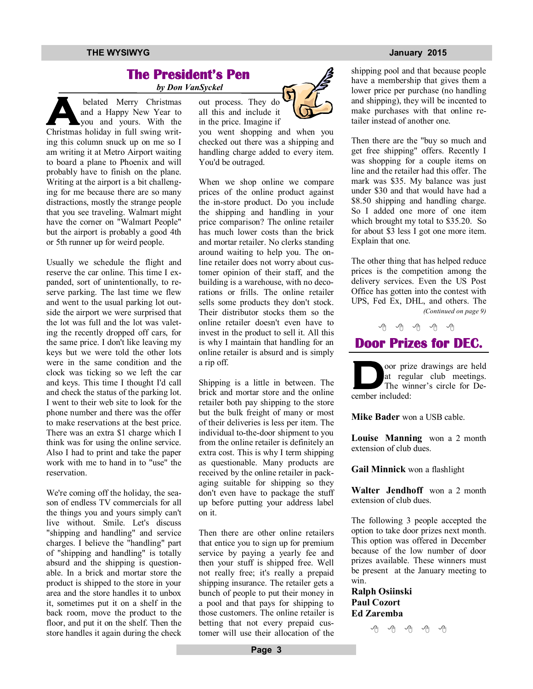### **THE WYSIWYG AND THE WYSIWYG** *CONSUMISTION* **<b>***CONSUMISTION*

## **The President's Pen**

 *by Don VanSyckel*

**A** belated Merry Christmas and a Happy New Year to you and yours. With the Christmas holiday in full swing writing this column snuck up on me so I am writing it at Metro Airport waiting to board a plane to Phoenix and will probably have to finish on the plane. Writing at the airport is a bit challenging for me because there are so many distractions, mostly the strange people that you see traveling. Walmart might have the corner on "Walmart People" but the airport is probably a good 4th or 5th runner up for weird people.

Usually we schedule the flight and reserve the car online. This time I expanded, sort of unintentionally, to reserve parking. The last time we flew and went to the usual parking lot outside the airport we were surprised that the lot was full and the lot was valeting the recently dropped off cars, for the same price. I don't like leaving my keys but we were told the other lots were in the same condition and the clock was ticking so we left the car and keys. This time I thought I'd call and check the status of the parking lot. I went to their web site to look for the phone number and there was the offer to make reservations at the best price. There was an extra \$1 charge which I think was for using the online service. Also I had to print and take the paper work with me to hand in to "use" the reservation.

We're coming off the holiday, the season of endless TV commercials for all the things you and yours simply can't live without. Smile. Let's discuss "shipping and handling" and service charges. I believe the "handling" part of "shipping and handling" is totally absurd and the shipping is questionable. In a brick and mortar store the product is shipped to the store in your area and the store handles it to unbox it, sometimes put it on a shelf in the back room, move the product to the floor, and put it on the shelf. Then the store handles it again during the check



you went shopping and when you checked out there was a shipping and handling charge added to every item. You'd be outraged.

When we shop online we compare prices of the online product against the in-store product. Do you include the shipping and handling in your price comparison? The online retailer has much lower costs than the brick and mortar retailer. No clerks standing around waiting to help you. The online retailer does not worry about customer opinion of their staff, and the building is a warehouse, with no decorations or frills. The online retailer sells some products they don't stock. Their distributor stocks them so the online retailer doesn't even have to invest in the product to sell it. All this is why I maintain that handling for an online retailer is absurd and is simply a rip off.

Shipping is a little in between. The brick and mortar store and the online retailer both pay shipping to the store but the bulk freight of many or most of their deliveries is less per item. The individual to-the-door shipment to you from the online retailer is definitely an extra cost. This is why I term shipping as questionable. Many products are received by the online retailer in packaging suitable for shipping so they don't even have to package the stuff up before putting your address label on it.

Then there are other online retailers that entice you to sign up for premium service by paying a yearly fee and then your stuff is shipped free. Well not really free; it's really a prepaid shipping insurance. The retailer gets a bunch of people to put their money in a pool and that pays for shipping to those customers. The online retailer is betting that not every prepaid customer will use their allocation of the

shipping pool and that because people have a membership that gives them a lower price per purchase (no handling and shipping), they will be incented to make purchases with that online retailer instead of another one.

Then there are the "buy so much and get free shipping" offers. Recently I was shopping for a couple items on line and the retailer had this offer. The mark was \$35. My balance was just under \$30 and that would have had a \$8.50 shipping and handling charge. So I added one more of one item which brought my total to \$35.20. So for about \$3 less I got one more item. Explain that one.

The other thing that has helped reduce prices is the competition among the delivery services. Even the US Post Office has gotten into the contest with UPS, Fed Ex, DHL, and others. The *(Continued on page 9)*

一个 一个 **Door Prizes for DEC.** 

**D** oor prize drawings are held at regular club meetings. The winner's circle for December included:

**Mike Bader** won a USB cable.

**Louise Manning** won a 2 month extension of club dues.

**Gail Minnick** won a flashlight

**Walter Jendhoff** won a 2 month extension of club dues.

The following 3 people accepted the option to take door prizes next month. This option was offered in December because of the low number of door prizes available. These winners must be present at the January meeting to win.

**Ralph Osiinski Paul Cozort Ed Zaremba**

中 中 中 中 中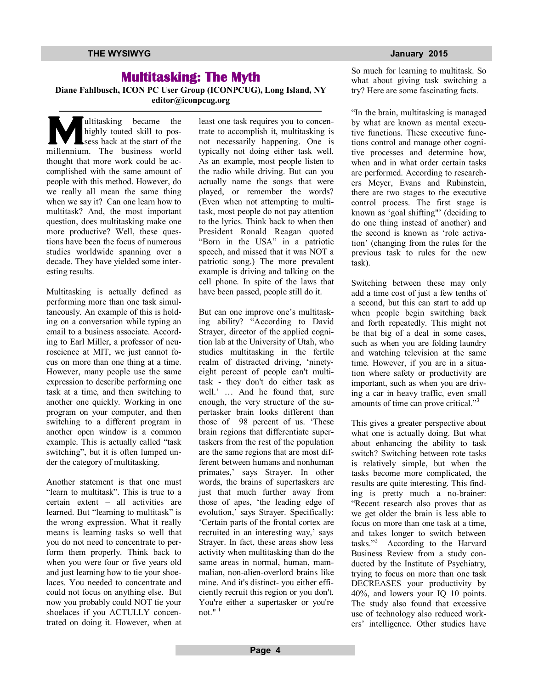## **Multitasking: The Myth**

**Diane Fahlbusch, ICON PC User Group (ICONPCUG), Long Island, NY editor@iconpcug.org**

**M** ultitasking became the highly touted skill to possess back at the start of the millennium. The business world thought that more work could be accomplished with the same amount of people with this method. However, do we really all mean the same thing when we say it? Can one learn how to multitask? And, the most important question, does multitasking make one more productive? Well, these questions have been the focus of numerous studies worldwide spanning over a decade. They have yielded some interesting results.

Multitasking is actually defined as performing more than one task simultaneously. An example of this is holding on a conversation while typing an email to a business associate. According to Earl Miller, a professor of neuroscience at MIT, we just cannot focus on more than one thing at a time. However, many people use the same expression to describe performing one task at a time, and then switching to another one quickly. Working in one program on your computer, and then switching to a different program in another open window is a common example. This is actually called "task switching", but it is often lumped under the category of multitasking.

Another statement is that one must "learn to multitask". This is true to a certain extent – all activities are learned. But "learning to multitask" is the wrong expression. What it really means is learning tasks so well that you do not need to concentrate to perform them properly. Think back to when you were four or five years old and just learning how to tie your shoelaces. You needed to concentrate and could not focus on anything else. But now you probably could NOT tie your shoelaces if you ACTULLY concentrated on doing it. However, when at least one task requires you to concentrate to accomplish it, multitasking is not necessarily happening. One is typically not doing either task well. As an example, most people listen to the radio while driving. But can you actually name the songs that were played, or remember the words? (Even when not attempting to multitask, most people do not pay attention to the lyrics. Think back to when then President Ronald Reagan quoted "Born in the USA" in a patriotic speech, and missed that it was NOT a patriotic song.) The more prevalent example is driving and talking on the cell phone. In spite of the laws that have been passed, people still do it.

But can one improve one's multitasking ability? "According to David Strayer, director of the applied cognition lab at the University of Utah, who studies multitasking in the fertile realm of distracted driving, 'ninetyeight percent of people can't multitask - they don't do either task as well.' … And he found that, sure enough, the very structure of the supertasker brain looks different than those of 98 percent of us. 'These brain regions that differentiate supertaskers from the rest of the population are the same regions that are most different between humans and nonhuman primates,' says Strayer. In other words, the brains of supertaskers are just that much further away from those of apes, 'the leading edge of evolution,' says Strayer. Specifically: 'Certain parts of the frontal cortex are recruited in an interesting way,' says Strayer. In fact, these areas show less activity when multitasking than do the same areas in normal, human, mammalian, non-alien-overlord brains like mine. And it's distinct- you either efficiently recruit this region or you don't. You're either a supertasker or you're not." $<sup>1</sup>$ </sup>

So much for learning to multitask. So what about giving task switching a try? Here are some fascinating facts.

"In the brain, multitasking is managed by what are known as mental executive functions. These executive functions control and manage other cognitive processes and determine how, when and in what order certain tasks are performed. According to researchers Meyer, Evans and Rubinstein, there are two stages to the executive control process. The first stage is known as 'goal shifting"' (deciding to do one thing instead of another) and the second is known as 'role activation' (changing from the rules for the previous task to rules for the new task).

Switching between these may only add a time cost of just a few tenths of a second, but this can start to add up when people begin switching back and forth repeatedly. This might not be that big of a deal in some cases, such as when you are folding laundry and watching television at the same time. However, if you are in a situation where safety or productivity are important, such as when you are driving a car in heavy traffic, even small amounts of time can prove critical."<sup>3</sup>

This gives a greater perspective about what one is actually doing. But what about enhancing the ability to task switch? Switching between rote tasks is relatively simple, but when the tasks become more complicated, the results are quite interesting. This finding is pretty much a no-brainer: "Recent research also proves that as we get older the brain is less able to focus on more than one task at a time, and takes longer to switch between tasks."<sup>2</sup> According to the Harvard Business Review from a study conducted by the Institute of Psychiatry, trying to focus on more than one task DECREASES your productivity by 40%, and lowers your IQ 10 points. The study also found that excessive use of technology also reduced workers' intelligence. Other studies have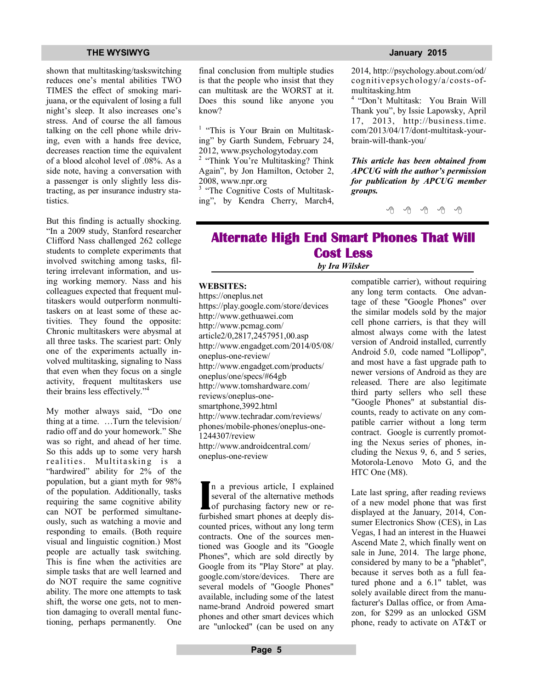### **THE WYSIWYG January 2015**

shown that multitasking/taskswitching reduces one's mental abilities TWO TIMES the effect of smoking marijuana, or the equivalent of losing a full night's sleep. It also increases one's stress. And of course the all famous talking on the cell phone while driving, even with a hands free device, decreases reaction time the equivalent of a blood alcohol level of .08%. As a side note, having a conversation with a passenger is only slightly less distracting, as per insurance industry statistics.

But this finding is actually shocking. "In a 2009 study, Stanford researcher Clifford Nass challenged 262 college students to complete experiments that involved switching among tasks, filtering irrelevant information, and using working memory. Nass and his colleagues expected that frequent multitaskers would outperform nonmultitaskers on at least some of these activities. They found the opposite: Chronic multitaskers were abysmal at all three tasks. The scariest part: Only one of the experiments actually involved multitasking, signaling to Nass that even when they focus on a single activity, frequent multitaskers use their brains less effectively."<sup>4</sup>

My mother always said, "Do one thing at a time. …Turn the television/ radio off and do your homework." She was so right, and ahead of her time. So this adds up to some very harsh realities. Multitasking is a "hardwired" ability for 2% of the population, but a giant myth for 98% of the population. Additionally, tasks requiring the same cognitive ability can NOT be performed simultaneously, such as watching a movie and responding to emails. (Both require visual and linguistic cognition.) Most people are actually task switching. This is fine when the activities are simple tasks that are well learned and do NOT require the same cognitive ability. The more one attempts to task shift, the worse one gets, not to mention damaging to overall mental functioning, perhaps permanently. One final conclusion from multiple studies is that the people who insist that they can multitask are the WORST at it. Does this sound like anyone you know?

<sup>1</sup> "This is Your Brain on Multitasking" by Garth Sundem, February 24, 2012, www.psychologytoday.com

<sup>2</sup> "Think You're Multitasking? Think Again", by Jon Hamilton, October 2, 2008, www.npr.org

<sup>3</sup> "The Cognitive Costs of Multitasking", by Kendra Cherry, March4,

2014, http://psychology.about.com/od/ cognitivepsychology/a/costs-ofmultitasking.htm

4 "Don't Multitask: You Brain Will Thank you", by Issie Lapowsky, April 17, 2013, http://business.time. com/2013/04/17/dont-multitask-yourbrain-will-thank-you/

*This article has been obtained from APCUG with the author's permission for publication by APCUG member groups.*

唯 伯 伯 伯

## **Alternate High End Smart Phones That Will Cost Less**

### *by Ira Wilsker*

### **WEBSITES:**

https://oneplus.net https://play.google.com/store/devices http://www.gethuawei.com http://www.pcmag.com/ article2/0,2817,2457951,00.asp http://www.engadget.com/2014/05/08/ oneplus-one-review/ http://www.engadget.com/products/ oneplus/one/specs/#64gb http://www.tomshardware.com/ reviews/oneplus-onesmartphone,3992.html http://www.techradar.com/reviews/ phones/mobile-phones/oneplus-one-1244307/review http://www.androidcentral.com/ oneplus-one-review

**I** n a previous article, I explained several of the alternative methods of purchasing factory new or refurbished smart phones at deeply discounted prices, without any long term contracts. One of the sources mentioned was Google and its "Google Phones", which are sold directly by Google from its "Play Store" at play. google.com/store/devices. There are several models of "Google Phones" available, including some of the latest name-brand Android powered smart phones and other smart devices which are "unlocked" (can be used on any

compatible carrier), without requiring any long term contacts. One advantage of these "Google Phones" over the similar models sold by the major cell phone carriers, is that they will almost always come with the latest version of Android installed, currently Android 5.0, code named "Lollipop", and most have a fast upgrade path to newer versions of Android as they are released. There are also legitimate third party sellers who sell these "Google Phones" at substantial discounts, ready to activate on any compatible carrier without a long term contract. Google is currently promoting the Nexus series of phones, including the Nexus 9, 6, and 5 series, Motorola-Lenovo Moto G, and the HTC One (M8).

Late last spring, after reading reviews of a new model phone that was first displayed at the January, 2014, Consumer Electronics Show (CES), in Las Vegas, I had an interest in the Huawei Ascend Mate 2, which finally went on sale in June, 2014. The large phone, considered by many to be a "phablet", because it serves both as a full featured phone and a 6.1" tablet, was solely available direct from the manufacturer's Dallas office, or from Amazon, for \$299 as an unlocked GSM phone, ready to activate on AT&T or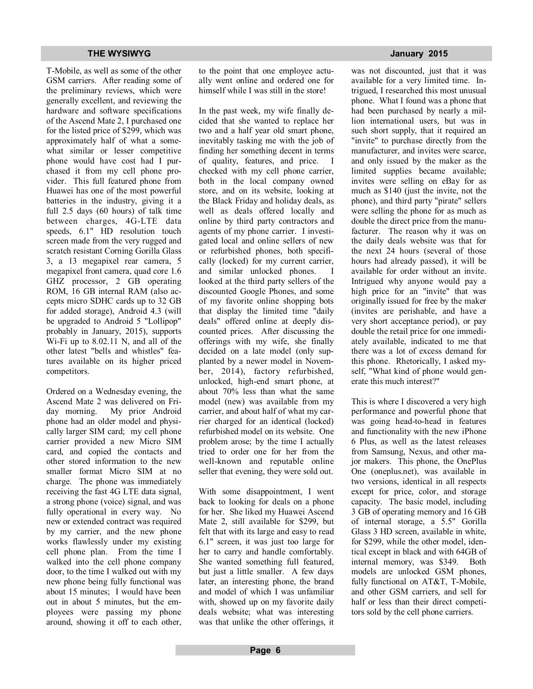### **THE WYSIWYG** *CONSUMISTION CONSUMISTION CONSUMISTION CONSUMISTION CONSUMING CONSUMING CONSUMING CONSUMING CONSUMING CONSUMING CONSUMING CONSUMING CONSUMING CONSUMING CONSUMING CONSUMING CONSUMING CONSUMING CONSUMING CONS*

T-Mobile, as well as some of the other GSM carriers. After reading some of the preliminary reviews, which were generally excellent, and reviewing the hardware and software specifications of the Ascend Mate 2, I purchased one for the listed price of \$299, which was approximately half of what a somewhat similar or lesser competitive phone would have cost had I purchased it from my cell phone provider. This full featured phone from Huawei has one of the most powerful batteries in the industry, giving it a full 2.5 days (60 hours) of talk time between charges, 4G-LTE data speeds, 6.1" HD resolution touch screen made from the very rugged and scratch resistant Corning Gorilla Glass 3, a 13 megapixel rear camera, 5 megapixel front camera, quad core 1.6 GHZ processor, 2 GB operating ROM, 16 GB internal RAM (also accepts micro SDHC cards up to 32 GB for added storage), Android 4.3 (will be upgraded to Android 5 "Lollipop" probably in January, 2015), supports Wi-Fi up to 8.02.11 N, and all of the other latest "bells and whistles" features available on its higher priced competitors.

Ordered on a Wednesday evening, the Ascend Mate 2 was delivered on Friday morning. My prior Android phone had an older model and physically larger SIM card; my cell phone carrier provided a new Micro SIM card, and copied the contacts and other stored information to the new smaller format Micro SIM at no charge. The phone was immediately receiving the fast 4G LTE data signal, a strong phone (voice) signal, and was fully operational in every way. No new or extended contract was required by my carrier, and the new phone works flawlessly under my existing cell phone plan. From the time I walked into the cell phone company door, to the time I walked out with my new phone being fully functional was about 15 minutes; I would have been out in about 5 minutes, but the employees were passing my phone around, showing it off to each other, to the point that one employee actually went online and ordered one for himself while I was still in the store!

In the past week, my wife finally decided that she wanted to replace her two and a half year old smart phone, inevitably tasking me with the job of finding her something decent in terms of quality, features, and price. I checked with my cell phone carrier, both in the local company owned store, and on its website, looking at the Black Friday and holiday deals, as well as deals offered locally and online by third party contractors and agents of my phone carrier. I investigated local and online sellers of new or refurbished phones, both specifically (locked) for my current carrier, and similar unlocked phones. I looked at the third party sellers of the discounted Google Phones, and some of my favorite online shopping bots that display the limited time "daily deals" offered online at deeply discounted prices. After discussing the offerings with my wife, she finally decided on a late model (only supplanted by a newer model in November, 2014), factory refurbished, unlocked, high-end smart phone, at about 70% less than what the same model (new) was available from my carrier, and about half of what my carrier charged for an identical (locked) refurbished model on its website. One problem arose; by the time I actually tried to order one for her from the well-known and reputable online seller that evening, they were sold out.

With some disappointment, I went back to looking for deals on a phone for her. She liked my Huawei Ascend Mate 2, still available for \$299, but felt that with its large and easy to read 6.1" screen, it was just too large for her to carry and handle comfortably. She wanted something full featured, but just a little smaller. A few days later, an interesting phone, the brand and model of which I was unfamiliar with, showed up on my favorite daily deals website; what was interesting was that unlike the other offerings, it

was not discounted, just that it was available for a very limited time. Intrigued, I researched this most unusual phone. What I found was a phone that had been purchased by nearly a million international users, but was in such short supply, that it required an "invite" to purchase directly from the manufacturer, and invites were scarce, and only issued by the maker as the limited supplies became available; invites were selling on eBay for as much as \$140 (just the invite, not the phone), and third party "pirate" sellers were selling the phone for as much as double the direct price from the manufacturer. The reason why it was on the daily deals website was that for the next 24 hours (several of those hours had already passed), it will be available for order without an invite. Intrigued why anyone would pay a high price for an "invite" that was originally issued for free by the maker (invites are perishable, and have a very short acceptance period), or pay double the retail price for one immediately available, indicated to me that there was a lot of excess demand for this phone. Rhetorically, I asked myself, "What kind of phone would generate this much interest?"

This is where I discovered a very high performance and powerful phone that was going head-to-head in features and functionality with the new iPhone 6 Plus, as well as the latest releases from Samsung, Nexus, and other major makers. This phone, the OnePlus One (oneplus.net), was available in two versions, identical in all respects except for price, color, and storage capacity. The basic model, including 3 GB of operating memory and 16 GB of internal storage, a 5.5" Gorilla Glass 3 HD screen, available in white, for \$299, while the other model, identical except in black and with 64GB of internal memory, was \$349. Both models are unlocked GSM phones, fully functional on AT&T, T-Mobile, and other GSM carriers, and sell for half or less than their direct competitors sold by the cell phone carriers.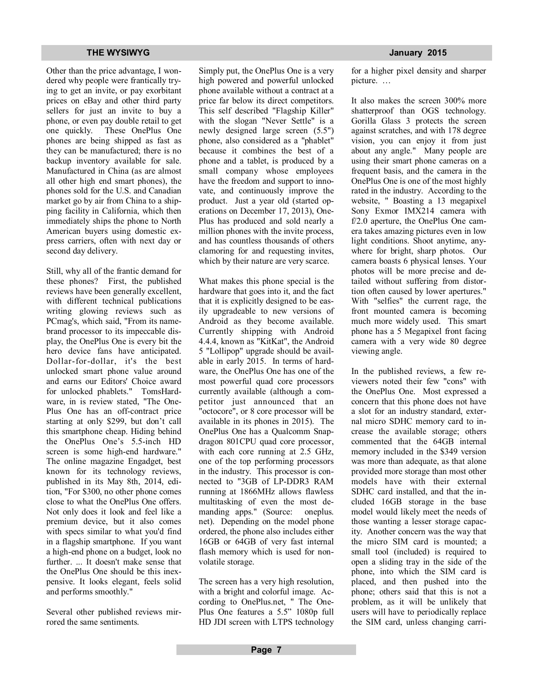Other than the price advantage, I wondered why people were frantically trying to get an invite, or pay exorbitant prices on eBay and other third party sellers for just an invite to buy a phone, or even pay double retail to get one quickly. These OnePlus One phones are being shipped as fast as they can be manufactured; there is no backup inventory available for sale. Manufactured in China (as are almost all other high end smart phones), the phones sold for the U.S. and Canadian market go by air from China to a shipping facility in California, which then immediately ships the phone to North American buyers using domestic express carriers, often with next day or second day delivery.

Still, why all of the frantic demand for these phones? First, the published reviews have been generally excellent, with different technical publications writing glowing reviews such as PCmag's, which said, "From its namebrand processor to its impeccable display, the OnePlus One is every bit the hero device fans have anticipated. Dollar-for-dollar, it's the best unlocked smart phone value around and earns our Editors' Choice award for unlocked phablets." TomsHardware, in is review stated, "The One-Plus One has an off-contract price starting at only \$299, but don't call this smartphone cheap. Hiding behind the OnePlus One's 5.5-inch HD screen is some high-end hardware." The online magazine Engadget, best known for its technology reviews, published in its May 8th, 2014, edition, "For \$300, no other phone comes close to what the OnePlus One offers. Not only does it look and feel like a premium device, but it also comes with specs similar to what you'd find in a flagship smartphone. If you want a high-end phone on a budget, look no further. ... It doesn't make sense that the OnePlus One should be this inexpensive. It looks elegant, feels solid and performs smoothly."

Several other published reviews mirrored the same sentiments.

Simply put, the OnePlus One is a very high powered and powerful unlocked phone available without a contract at a price far below its direct competitors. This self described "Flagship Killer" with the slogan "Never Settle" is a newly designed large screen (5.5") phone, also considered as a "phablet" because it combines the best of a phone and a tablet, is produced by a small company whose employees have the freedom and support to innovate, and continuously improve the product. Just a year old (started operations on December 17, 2013), One-Plus has produced and sold nearly a million phones with the invite process, and has countless thousands of others clamoring for and requesting invites, which by their nature are very scarce.

What makes this phone special is the hardware that goes into it, and the fact that it is explicitly designed to be easily upgradeable to new versions of Android as they become available. Currently shipping with Android 4.4.4, known as "KitKat", the Android 5 "Lollipop" upgrade should be available in early 2015. In terms of hardware, the OnePlus One has one of the most powerful quad core processors currently available (although a competitor just announced that an "octocore", or 8 core processor will be available in its phones in 2015). The OnePlus One has a Qualcomm Snapdragon 801CPU quad core processor, with each core running at 2.5 GHz, one of the top performing processors in the industry. This processor is connected to "3GB of LP-DDR3 RAM running at 1866MHz allows flawless multitasking of even the most demanding apps." (Source: oneplus. net). Depending on the model phone ordered, the phone also includes either 16GB or 64GB of very fast internal flash memory which is used for nonvolatile storage.

The screen has a very high resolution, with a bright and colorful image. According to OnePlus.net, " The One-Plus One features a 5.5" 1080p full HD JDI screen with LTPS technology for a higher pixel density and sharper picture. …

It also makes the screen 300% more shatterproof than OGS technology. Gorilla Glass 3 protects the screen against scratches, and with 178 degree vision, you can enjoy it from just about any angle." Many people are using their smart phone cameras on a frequent basis, and the camera in the OnePlus One is one of the most highly rated in the industry. According to the website, " Boasting a 13 megapixel Sony Exmor IMX214 camera with f/2.0 aperture, the OnePlus One camera takes amazing pictures even in low light conditions. Shoot anytime, anywhere for bright, sharp photos. Our camera boasts 6 physical lenses. Your photos will be more precise and detailed without suffering from distortion often caused by lower apertures." With "selfies" the current rage, the front mounted camera is becoming much more widely used. This smart phone has a 5 Megapixel front facing camera with a very wide 80 degree viewing angle.

In the published reviews, a few reviewers noted their few "cons" with the OnePlus One. Most expressed a concern that this phone does not have a slot for an industry standard, external micro SDHC memory card to increase the available storage; others commented that the 64GB internal memory included in the \$349 version was more than adequate, as that alone provided more storage than most other models have with their external SDHC card installed, and that the included 16GB storage in the base model would likely meet the needs of those wanting a lesser storage capacity. Another concern was the way that the micro SIM card is mounted; a small tool (included) is required to open a sliding tray in the side of the phone, into which the SIM card is placed, and then pushed into the phone; others said that this is not a problem, as it will be unlikely that users will have to periodically replace the SIM card, unless changing carri-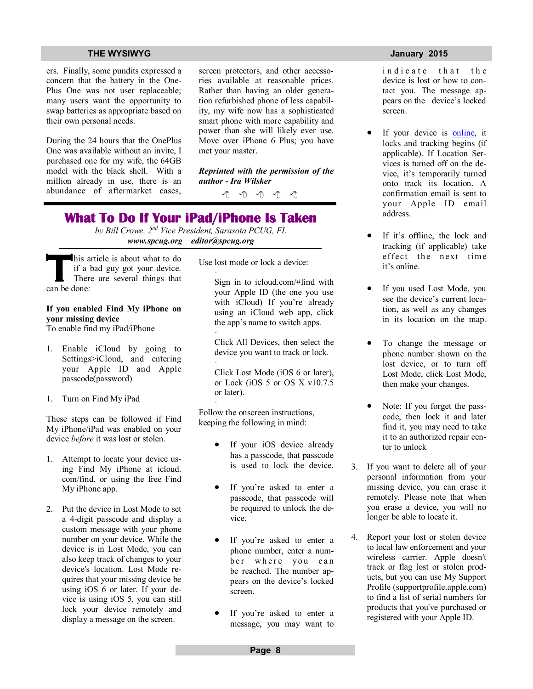### **THE WYSIWYG AND THE WYSIWYG** *CONSUMISTION* **<b>***CONSUMISTION*

ers. Finally, some pundits expressed a concern that the battery in the One-Plus One was not user replaceable; many users want the opportunity to swap batteries as appropriate based on their own personal needs.

During the 24 hours that the OnePlus One was available without an invite, I purchased one for my wife, the 64GB model with the black shell. With a million already in use, there is an abundance of aftermarket cases,

screen protectors, and other accessories available at reasonable prices. Rather than having an older generation refurbished phone of less capability, my wife now has a sophisticated smart phone with more capability and power than she will likely ever use. Move over iPhone 6 Plus; you have met your master.

*Reprinted with the permission of the author - Ira Wilsker*

**A** A A A A

## **What To Do If Your iPad/iPhone Is Taken**

*by Bill Crowe, 2nd Vice President, Sarasota PCUG, FL www.spcug.org editor@spcug.org*

·

·

·

**T** his article is about what to do if a bad guy got your device. There are several things that can be done:

## **If you enabled Find My iPhone on your missing device**

To enable find my iPad/iPhone

- 1. Enable iCloud by going to Settings>iCloud, and entering your Apple ID and Apple passcode(password)
- 1. Turn on Find My iPad

These steps can be followed if Find My iPhone/iPad was enabled on your device *before* it was lost or stolen.

- 1. Attempt to locate your device using Find My iPhone at icloud. com/find, or using the free Find My iPhone app.
- 2. Put the device in Lost Mode to set a 4-digit passcode and display a custom message with your phone number on your device. While the device is in Lost Mode, you can also keep track of changes to your device's location. Lost Mode requires that your missing device be using iOS 6 or later. If your device is using iOS 5, you can still lock your device remotely and display a message on the screen.

Use lost mode or lock a device:

 Sign in to icloud.com/#find with your Apple ID (the one you use with iCloud) If you're already using an iCloud web app, click the app's name to switch apps. ·

 Click All Devices, then select the device you want to track or lock.

Click Lost Mode (iOS 6 or later), or Lock (iOS 5 or OS X v10.7.5 or later).

Follow the onscreen instructions, keeping the following in mind:

- If your iOS device already has a passcode, that passcode is used to lock the device.
- If you're asked to enter a passcode, that passcode will be required to unlock the device.
- If you're asked to enter a phone number, enter a number where you can be reached. The number appears on the device's locked screen.
- If you're asked to enter a message, you may want to

indicate that the device is lost or how to contact you. The message appears on the device's locked screen.

- If your device is **online**, it locks and tracking begins (if applicable). If Location Services is turned off on the device, it's temporarily turned onto track its location. A confirmation email is sent to your Apple ID email address.
- If it's offline, the lock and tracking (if applicable) take effect the next time it's online.
- If you used Lost Mode, you see the device's current location, as well as any changes in its location on the map.
- To change the message or phone number shown on the lost device, or to turn off Lost Mode, click Lost Mode, then make your changes.
- Note: If you forget the passcode, then lock it and later find it, you may need to take it to an authorized repair center to unlock
- 3. If you want to delete all of your personal information from your missing device, you can erase it remotely. Please note that when you erase a device, you will no longer be able to locate it.
- 4. Report your lost or stolen device to local law enforcement and your wireless carrier. Apple doesn't track or flag lost or stolen products, but you can use My Support Profile (supportprofile.apple.com) to find a list of serial numbers for products that you've purchased or registered with your Apple ID.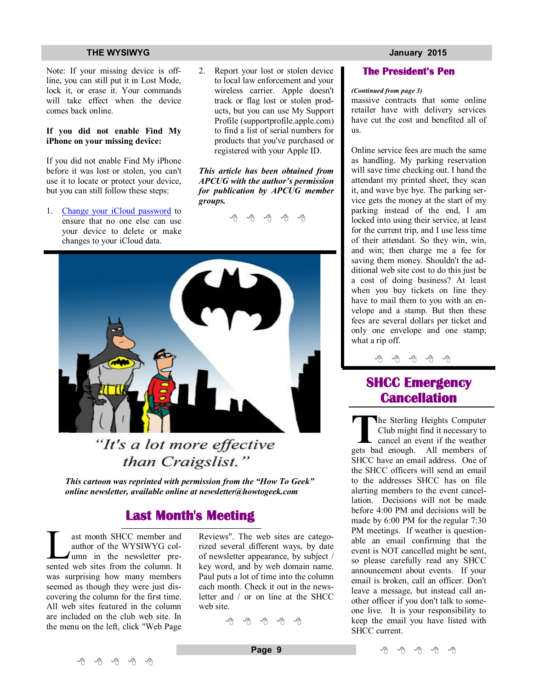### **THE WYSIWYG January 2015**

Note: If your missing device is offline, you can still put it in Lost Mode, lock it, or erase it. Your commands will take effect when the device comes back online.

### **If you did not enable Find My iPhone on your missing device:**

If you did not enable Find My iPhone before it was lost or stolen, you can't use it to locate or protect your device, but you can still follow these steps:

- 1. Change your iCloud password to ensure that no one else can use your device to delete or make changes to your iCloud data.
- 2. Report your lost or stolen device to local law enforcement and your wireless carrier. Apple doesn't track or flag lost or stolen products, but you can use My Support Profile (supportprofile.apple.com) to find a list of serial numbers for products that you've purchased or registered with your Apple ID.

*This article has been obtained from APCUG with the author's permission for publication by APCUG member groups.*

A A A A A



## "It's a lot more effective than Craigslist."

*This cartoon was reprinted with permission from the "How To Geek" online newsletter, available online at newsletter@howtogeek.com*

## **Last Month's Meeting**

ast month SHCC member and<br>author of the WYSIWYG col-<br>umn in the newsletter pre-<br>sented web sites from the column. It ast month SHCC member and author of the WYSIWYG column in the newsletter prewas surprising how many members seemed as though they were just discovering the column for the first time. All web sites featured in the column are included on the club web site. In the menu on the left, click "Web Page

Reviews". The web sites are categorized several different ways, by date of newsletter appearance, by subject / key word, and by web domain name. Paul puts a lot of time into the column each month. Check it out in the newsletter and / or on line at the SHCC web site.

A A A A A

### **The President's Pen**

### *(Continued from page 3)*

massive contracts that some online retailer have with delivery services have cut the cost and benefited all of us.

Online service fees are much the same as handling. My parking reservation will save time checking out. I hand the attendant my printed sheet, they scan it, and wave bye bye. The parking service gets the money at the start of my parking instead of the end, I am locked into using their service, at least for the current trip, and I use less time of their attendant. So they win, win, and win; then charge me a fee for saving them money. Shouldn't the additional web site cost to do this just be a cost of doing business? At least when you buy tickets on line they have to mail them to you with an envelope and a stamp. But then these fees are several dollars per ticket and only one envelope and one stamp; what a rip off.

中 中 中 中 中

## **SHCC Emergency Cancellation**

**The Sterling Heights Computer Club might find it necessary to cancel an event if the weather gets bad enough. All members of** he Sterling Heights Computer Club might find it necessary to cancel an event if the weather SHCC have an email address. One of the SHCC officers will send an email to the addresses SHCC has on file alerting members to the event cancellation. Decisions will not be made before 4:00 PM and decisions will be made by 6:00 PM for the regular 7:30 PM meetings. If weather is questionable an email confirming that the event is NOT cancelled might be sent, so please carefully read any SHCC announcement about events. If your email is broken, call an officer. Don't leave a message, but instead call another officer if you don't talk to someone live. It is your responsibility to keep the email you have listed with SHCC current.